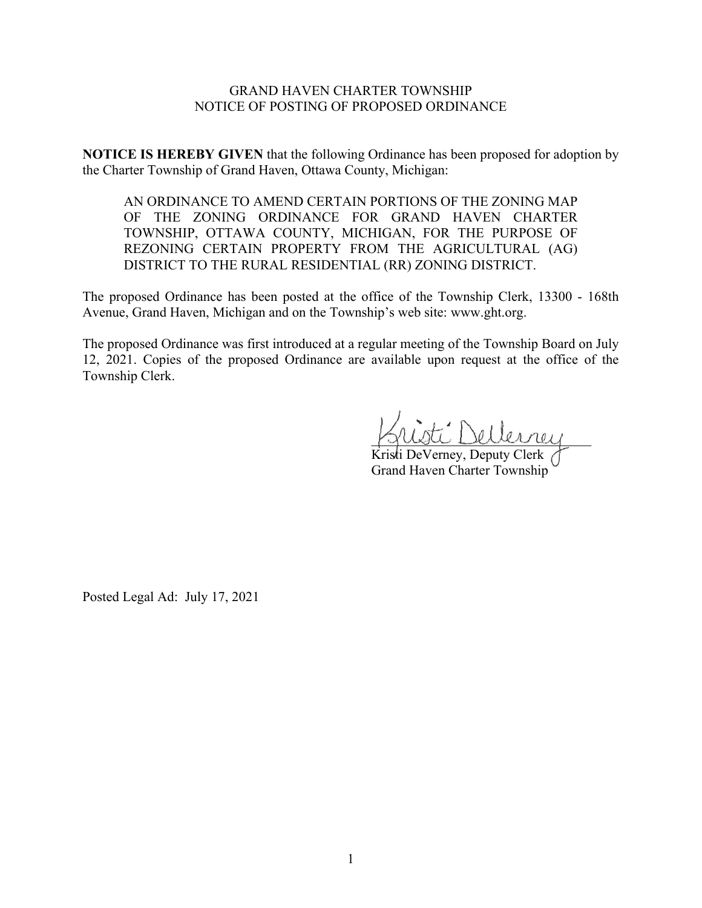## GRAND HAVEN CHARTER TOWNSHIP NOTICE OF POSTING OF PROPOSED ORDINANCE

**NOTICE IS HEREBY GIVEN** that the following Ordinance has been proposed for adoption by the Charter Township of Grand Haven, Ottawa County, Michigan:

AN ORDINANCE TO AMEND CERTAIN PORTIONS OF THE ZONING MAP OF THE ZONING ORDINANCE FOR GRAND HAVEN CHARTER TOWNSHIP, OTTAWA COUNTY, MICHIGAN, FOR THE PURPOSE OF REZONING CERTAIN PROPERTY FROM THE AGRICULTURAL (AG) DISTRICT TO THE RURAL RESIDENTIAL (RR) ZONING DISTRICT.

The proposed Ordinance has been posted at the office of the Township Clerk, 13300 - 168th Avenue, Grand Haven, Michigan and on the Township's web site: www.ght.org.

The proposed Ordinance was first introduced at a regular meeting of the Township Board on July 12, 2021. Copies of the proposed Ordinance are available upon request at the office of the Township Clerk.

 $\exists$ : Dellerrey

Kristi DeVerney, Deputy Clerk Grand Haven Charter Township

Posted Legal Ad: July 17, 2021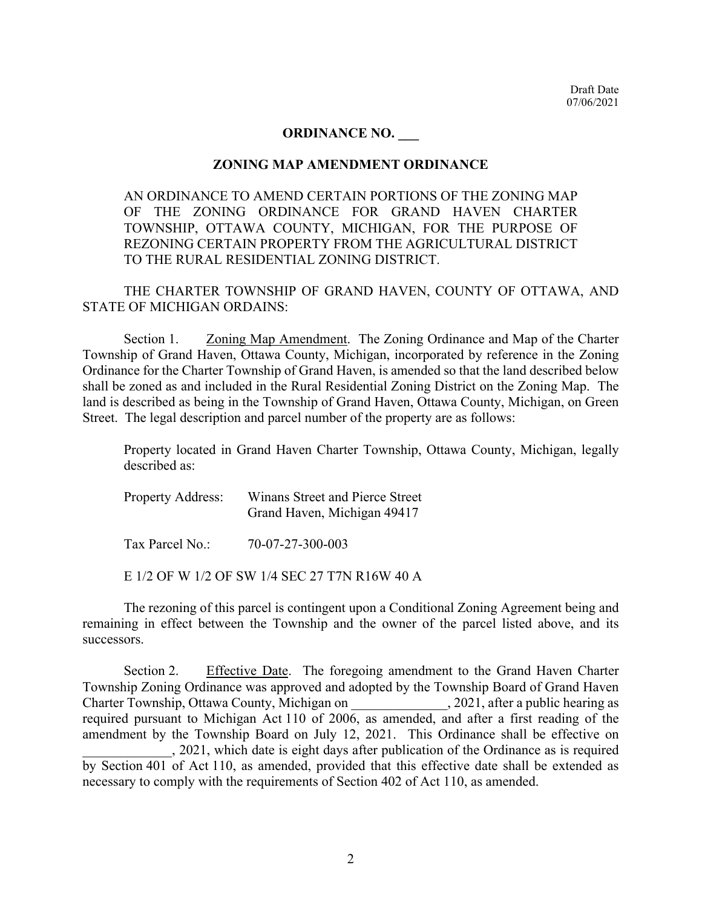## **ORDINANCE NO. \_\_\_**

## **ZONING MAP AMENDMENT ORDINANCE**

AN ORDINANCE TO AMEND CERTAIN PORTIONS OF THE ZONING MAP OF THE ZONING ORDINANCE FOR GRAND HAVEN CHARTER TOWNSHIP, OTTAWA COUNTY, MICHIGAN, FOR THE PURPOSE OF REZONING CERTAIN PROPERTY FROM THE AGRICULTURAL DISTRICT TO THE RURAL RESIDENTIAL ZONING DISTRICT.

THE CHARTER TOWNSHIP OF GRAND HAVEN, COUNTY OF OTTAWA, AND STATE OF MICHIGAN ORDAINS:

Section 1. Zoning Map Amendment. The Zoning Ordinance and Map of the Charter Township of Grand Haven, Ottawa County, Michigan, incorporated by reference in the Zoning Ordinance for the Charter Township of Grand Haven, is amended so that the land described below shall be zoned as and included in the Rural Residential Zoning District on the Zoning Map. The land is described as being in the Township of Grand Haven, Ottawa County, Michigan, on Green Street. The legal description and parcel number of the property are as follows:

Property located in Grand Haven Charter Township, Ottawa County, Michigan, legally described as:

| <b>Property Address:</b> | Winans Street and Pierce Street |
|--------------------------|---------------------------------|
|                          | Grand Haven, Michigan 49417     |
|                          |                                 |

Tax Parcel No.: 70-07-27-300-003

E 1/2 OF W 1/2 OF SW 1/4 SEC 27 T7N R16W 40 A

The rezoning of this parcel is contingent upon a Conditional Zoning Agreement being and remaining in effect between the Township and the owner of the parcel listed above, and its successors.

Section 2. Effective Date. The foregoing amendment to the Grand Haven Charter Township Zoning Ordinance was approved and adopted by the Township Board of Grand Haven Charter Township, Ottawa County, Michigan on \_\_\_\_\_\_\_\_\_\_\_\_\_\_, 2021, after a public hearing as required pursuant to Michigan Act 110 of 2006, as amended, and after a first reading of the amendment by the Township Board on July 12, 2021. This Ordinance shall be effective on \_\_\_\_\_\_\_\_\_\_\_\_\_, 2021, which date is eight days after publication of the Ordinance as is required by Section 401 of Act 110, as amended, provided that this effective date shall be extended as necessary to comply with the requirements of Section 402 of Act 110, as amended.